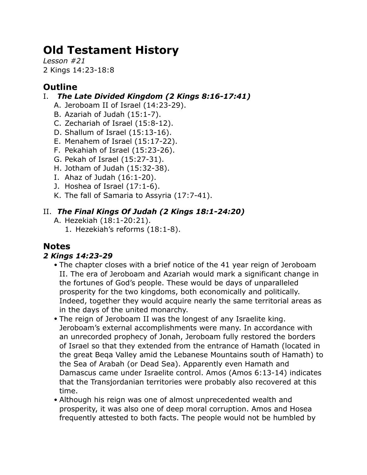# **Old Testament History**

*Lesson #21* 2 Kings 14:23-18:8

# **Outline**

### I. *The Late Divided Kingdom (2 Kings 8:16-17:41)*

- A. Jeroboam II of Israel (14:23-29).
- B. Azariah of Judah (15:1-7).
- C. Zechariah of Israel (15:8-12).
- D. Shallum of Israel (15:13-16).
- E. Menahem of Israel (15:17-22).
- F. Pekahiah of Israel (15:23-26).
- G. Pekah of Israel (15:27-31).
- H. Jotham of Judah (15:32-38).
- I. Ahaz of Judah (16:1-20).
- J. Hoshea of Israel (17:1-6).
- K. The fall of Samaria to Assyria (17:7-41).

# II. *The Final Kings Of Judah (2 Kings 18:1-24:20)*

- A. Hezekiah (18:1-20:21).
	- 1. Hezekiah's reforms (18:1-8).

# **Notes**

## *2 Kings 14:23-29*

- The chapter closes with a brief notice of the 41 year reign of Jeroboam II. The era of Jeroboam and Azariah would mark a significant change in the fortunes of God's people. These would be days of unparalleled prosperity for the two kingdoms, both economically and politically. Indeed, together they would acquire nearly the same territorial areas as in the days of the united monarchy.
- The reign of Jeroboam II was the longest of any Israelite king. Jeroboam's external accomplishments were many. In accordance with an unrecorded prophecy of Jonah, Jeroboam fully restored the borders of Israel so that they extended from the entrance of Hamath (located in the great Beqa Valley amid the Lebanese Mountains south of Hamath) to the Sea of Arabah (or Dead Sea). Apparently even Hamath and Damascus came under Israelite control. Amos (Amos 6:13-14) indicates that the Transjordanian territories were probably also recovered at this time.
- Although his reign was one of almost unprecedented wealth and prosperity, it was also one of deep moral corruption. Amos and Hosea frequently attested to both facts. The people would not be humbled by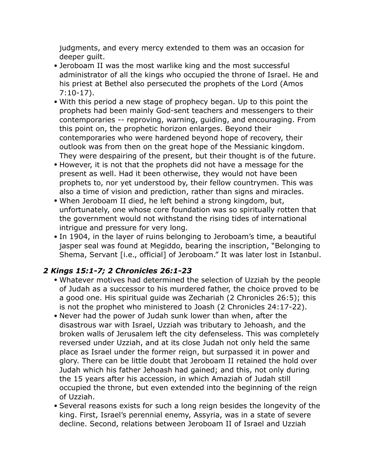judgments, and every mercy extended to them was an occasion for deeper guilt.

- Jeroboam II was the most warlike king and the most successful administrator of all the kings who occupied the throne of Israel. He and his priest at Bethel also persecuted the prophets of the Lord (Amos 7:10-17).
- With this period a new stage of prophecy began. Up to this point the prophets had been mainly God-sent teachers and messengers to their contemporaries -- reproving, warning, guiding, and encouraging. From this point on, the prophetic horizon enlarges. Beyond their contemporaries who were hardened beyond hope of recovery, their outlook was from then on the great hope of the Messianic kingdom. They were despairing of the present, but their thought is of the future.
- However, it is not that the prophets did not have a message for the present as well. Had it been otherwise, they would not have been prophets to, nor yet understood by, their fellow countrymen. This was also a time of vision and prediction, rather than signs and miracles.
- When Jeroboam II died, he left behind a strong kingdom, but, unfortunately, one whose core foundation was so spiritually rotten that the government would not withstand the rising tides of international intrigue and pressure for very long.
- In 1904, in the layer of ruins belonging to Jeroboam's time, a beautiful jasper seal was found at Megiddo, bearing the inscription, "Belonging to Shema, Servant [i.e., official] of Jeroboam." It was later lost in Istanbul.

## *2 Kings 15:1-7; 2 Chronicles 26:1-23*

- Whatever motives had determined the selection of Uzziah by the people of Judah as a successor to his murdered father, the choice proved to be a good one. His spiritual guide was Zechariah (2 Chronicles 26:5); this is not the prophet who ministered to Joash (2 Chronicles 24:17-22).
- Never had the power of Judah sunk lower than when, after the disastrous war with Israel, Uzziah was tributary to Jehoash, and the broken walls of Jerusalem left the city defenseless. This was completely reversed under Uzziah, and at its close Judah not only held the same place as Israel under the former reign, but surpassed it in power and glory. There can be little doubt that Jeroboam II retained the hold over Judah which his father Jehoash had gained; and this, not only during the 15 years after his accession, in which Amaziah of Judah still occupied the throne, but even extended into the beginning of the reign of Uzziah.
- Several reasons exists for such a long reign besides the longevity of the king. First, Israel's perennial enemy, Assyria, was in a state of severe decline. Second, relations between Jeroboam II of Israel and Uzziah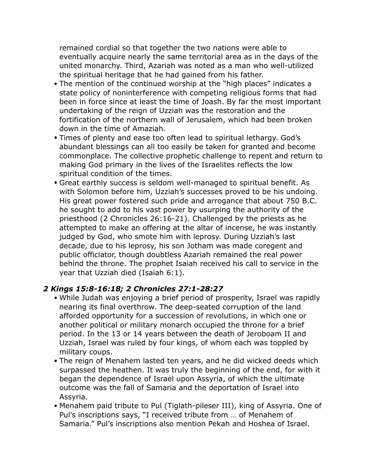remained cordial so that together the two nations were able to eventually acquire nearly the same territorial area as in the days of the united monarchy. Third, Azariah was noted as a man who well-utilized the spiritual heritage that he had gained from his father.

- The mention of the continued worship at the "high places" indicates a state policy of noninterference with competing religious forms that had been in force since at least the time of Joash. By far the most important undertaking of the reign of Uzziah was the restoration and the fortification of the northern wall of Jerusalem, which had been broken down in the time of Amaziah.
- Times of plenty and ease too often lead to spiritual lethargy. God's abundant blessings can all too easily be taken for granted and become commonplace. The collective prophetic challenge to repent and return to making God primary in the lives of the Israelites reflects the low spiritual condition of the times.
- Great earthly success is seldom well-managed to spiritual benefit. As with Solomon before him, Uzziah's successes proved to be his undoing. His great power fostered such pride and arrogance that about 750 B.C. he sought to add to his vast power by usurping the authority of the priesthood (2 Chronicles 26:16-21). Challenged by the priests as he attempted to make an offering at the altar of incense, he was instantly judged by God, who smote him with leprosy. During Uzziah's last decade, due to his leprosy, his son Jotham was made coregent and public officiator, though doubtless Azariah remained the real power behind the throne. The prophet Isaiah received his call to service in the year that Uzziah died (Isaiah 6:1).

#### *2 Kings 15:8-16:18; 2 Chronicles 27:1-28:27*

- While Judah was enjoying a brief period of prosperity, Israel was rapidly nearing its final overthrow. The deep-seated corruption of the land afforded opportunity for a succession of revolutions, in which one or another political or military monarch occupied the throne for a brief period. In the 13 or 14 years between the death of Jeroboam II and Uzziah, Israel was ruled by four kings, of whom each was toppled by military coups.
- The reign of Menahem lasted ten years, and he did wicked deeds which surpassed the heathen. It was truly the beginning of the end, for with it began the dependence of Israel upon Assyria, of which the ultimate outcome was the fall of Samaria and the deportation of Israel into Assyria.
- Menahem paid tribute to Pul (Tiglath-pileser III), king of Assyria. One of Pul's inscriptions says, "I received tribute from … of Menahem of Samaria." Pul's inscriptions also mention Pekah and Hoshea of Israel.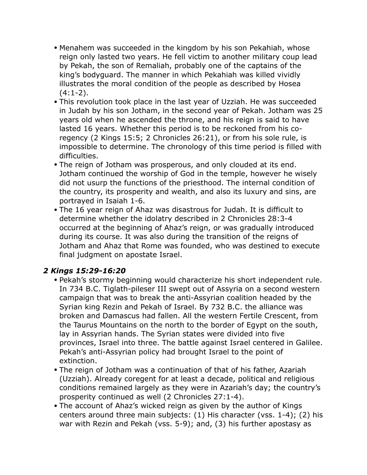- Menahem was succeeded in the kingdom by his son Pekahiah, whose reign only lasted two years. He fell victim to another military coup lead by Pekah, the son of Remaliah, probably one of the captains of the king's bodyguard. The manner in which Pekahiah was killed vividly illustrates the moral condition of the people as described by Hosea  $(4:1-2)$ .
- This revolution took place in the last year of Uzziah. He was succeeded in Judah by his son Jotham, in the second year of Pekah. Jotham was 25 years old when he ascended the throne, and his reign is said to have lasted 16 years. Whether this period is to be reckoned from his coregency (2 Kings 15:5; 2 Chronicles 26:21), or from his sole rule, is impossible to determine. The chronology of this time period is filled with difficulties.
- The reign of Jotham was prosperous, and only clouded at its end. Jotham continued the worship of God in the temple, however he wisely did not usurp the functions of the priesthood. The internal condition of the country, its prosperity and wealth, and also its luxury and sins, are portrayed in Isaiah 1-6.
- The 16 year reign of Ahaz was disastrous for Judah. It is difficult to determine whether the idolatry described in 2 Chronicles 28:3-4 occurred at the beginning of Ahaz's reign, or was gradually introduced during its course. It was also during the transition of the reigns of Jotham and Ahaz that Rome was founded, who was destined to execute final judgment on apostate Israel.

#### *2 Kings 15:29-16:20*

- Pekah's stormy beginning would characterize his short independent rule. In 734 B.C. Tiglath-pileser III swept out of Assyria on a second western campaign that was to break the anti-Assyrian coalition headed by the Syrian king Rezin and Pekah of Israel. By 732 B.C. the alliance was broken and Damascus had fallen. All the western Fertile Crescent, from the Taurus Mountains on the north to the border of Egypt on the south, lay in Assyrian hands. The Syrian states were divided into five provinces, Israel into three. The battle against Israel centered in Galilee. Pekah's anti-Assyrian policy had brought Israel to the point of extinction.
- The reign of Jotham was a continuation of that of his father, Azariah (Uzziah). Already coregent for at least a decade, political and religious conditions remained largely as they were in Azariah's day; the country's prosperity continued as well (2 Chronicles 27:1-4).
- The account of Ahaz's wicked reign as given by the author of Kings centers around three main subjects: (1) His character (vss. 1-4); (2) his war with Rezin and Pekah (vss. 5-9); and, (3) his further apostasy as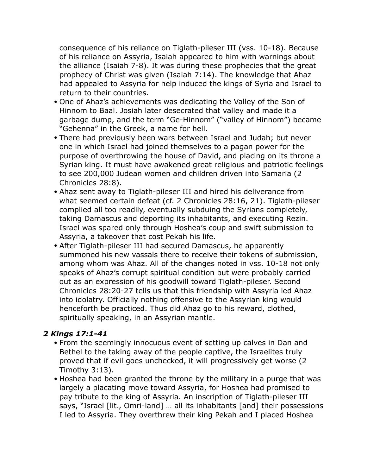consequence of his reliance on Tiglath-pileser III (vss. 10-18). Because of his reliance on Assyria, Isaiah appeared to him with warnings about the alliance (Isaiah 7-8). It was during these prophecies that the great prophecy of Christ was given (Isaiah 7:14). The knowledge that Ahaz had appealed to Assyria for help induced the kings of Syria and Israel to return to their countries.

- One of Ahaz's achievements was dedicating the Valley of the Son of Hinnom to Baal. Josiah later desecrated that valley and made it a garbage dump, and the term "Ge-Hinnom" ("valley of Hinnom") became "Gehenna" in the Greek, a name for hell.
- There had previously been wars between Israel and Judah; but never one in which Israel had joined themselves to a pagan power for the purpose of overthrowing the house of David, and placing on its throne a Syrian king. It must have awakened great religious and patriotic feelings to see 200,000 Judean women and children driven into Samaria (2 Chronicles 28:8).
- Ahaz sent away to Tiglath-pileser III and hired his deliverance from what seemed certain defeat (cf. 2 Chronicles 28:16, 21). Tiglath-pileser complied all too readily, eventually subduing the Syrians completely, taking Damascus and deporting its inhabitants, and executing Rezin. Israel was spared only through Hoshea's coup and swift submission to Assyria, a takeover that cost Pekah his life.
- After Tiglath-pileser III had secured Damascus, he apparently summoned his new vassals there to receive their tokens of submission, among whom was Ahaz. All of the changes noted in vss. 10-18 not only speaks of Ahaz's corrupt spiritual condition but were probably carried out as an expression of his goodwill toward Tiglath-pileser. Second Chronicles 28:20-27 tells us that this friendship with Assyria led Ahaz into idolatry. Officially nothing offensive to the Assyrian king would henceforth be practiced. Thus did Ahaz go to his reward, clothed, spiritually speaking, in an Assyrian mantle.

#### *2 Kings 17:1-41*

- From the seemingly innocuous event of setting up calves in Dan and Bethel to the taking away of the people captive, the Israelites truly proved that if evil goes unchecked, it will progressively get worse (2 Timothy 3:13).
- Hoshea had been granted the throne by the military in a purge that was largely a placating move toward Assyria, for Hoshea had promised to pay tribute to the king of Assyria. An inscription of Tiglath-pileser III says, "Israel [lit., Omri-land] … all its inhabitants [and] their possessions I led to Assyria. They overthrew their king Pekah and I placed Hoshea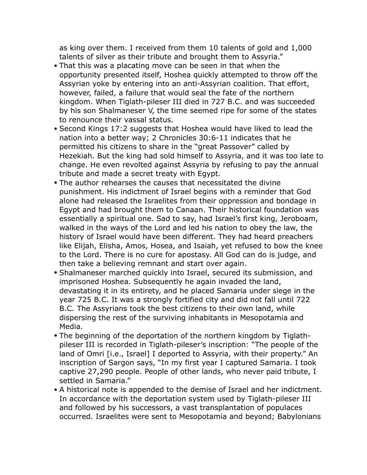as king over them. I received from them 10 talents of gold and 1,000 talents of silver as their tribute and brought them to Assyria."

- That this was a placating move can be seen in that when the opportunity presented itself, Hoshea quickly attempted to throw off the Assyrian yoke by entering into an anti-Assyrian coalition. That effort, however, failed, a failure that would seal the fate of the northern kingdom. When Tiglath-pileser III died in 727 B.C. and was succeeded by his son Shalmaneser V, the time seemed ripe for some of the states to renounce their vassal status.
- Second Kings 17:2 suggests that Hoshea would have liked to lead the nation into a better way; 2 Chronicles 30:6-11 indicates that he permitted his citizens to share in the "great Passover" called by Hezekiah. But the king had sold himself to Assyria, and it was too late to change. He even revolted against Assyria by refusing to pay the annual tribute and made a secret treaty with Egypt.
- The author rehearses the causes that necessitated the divine punishment. His indictment of Israel begins with a reminder that God alone had released the Israelites from their oppression and bondage in Egypt and had brought them to Canaan. Their historical foundation was essentially a spiritual one. Sad to say, had Israel's first king, Jeroboam, walked in the ways of the Lord and led his nation to obey the law, the history of Israel would have been different. They had heard preachers like Elijah, Elisha, Amos, Hosea, and Isaiah, yet refused to bow the knee to the Lord. There is no cure for apostasy. All God can do is judge, and then take a believing remnant and start over again.
- Shalmaneser marched quickly into Israel, secured its submission, and imprisoned Hoshea. Subsequently he again invaded the land, devastating it in its entirety, and he placed Samaria under siege in the year 725 B.C. It was a strongly fortified city and did not fall until 722 B.C. The Assyrians took the best citizens to their own land, while dispersing the rest of the surviving inhabitants in Mesopotamia and Media.
- The beginning of the deportation of the northern kingdom by Tiglathpileser III is recorded in Tiglath-pileser's inscription: "The people of the land of Omri [i.e., Israel] I deported to Assyria, with their property." An inscription of Sargon says, "In my first year I captured Samaria. I took captive 27,290 people. People of other lands, who never paid tribute, I settled in Samaria."
- A historical note is appended to the demise of Israel and her indictment. In accordance with the deportation system used by Tiglath-pileser III and followed by his successors, a vast transplantation of populaces occurred. Israelites were sent to Mesopotamia and beyond; Babylonians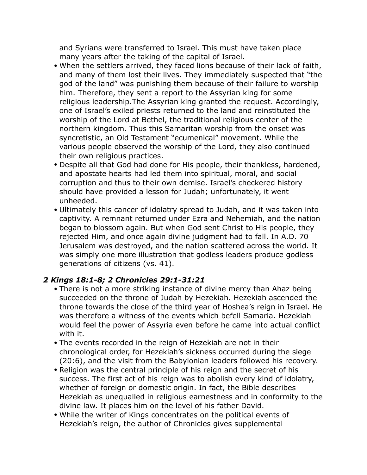and Syrians were transferred to Israel. This must have taken place many years after the taking of the capital of Israel.

- When the settlers arrived, they faced lions because of their lack of faith, and many of them lost their lives. They immediately suspected that "the god of the land" was punishing them because of their failure to worship him. Therefore, they sent a report to the Assyrian king for some religious leadership.The Assyrian king granted the request. Accordingly, one of Israel's exiled priests returned to the land and reinstituted the worship of the Lord at Bethel, the traditional religious center of the northern kingdom. Thus this Samaritan worship from the onset was syncretistic, an Old Testament "ecumenical" movement. While the various people observed the worship of the Lord, they also continued their own religious practices.
- Despite all that God had done for His people, their thankless, hardened, and apostate hearts had led them into spiritual, moral, and social corruption and thus to their own demise. Israel's checkered history should have provided a lesson for Judah; unfortunately, it went unheeded.
- Ultimately this cancer of idolatry spread to Judah, and it was taken into captivity. A remnant returned under Ezra and Nehemiah, and the nation began to blossom again. But when God sent Christ to His people, they rejected Him, and once again divine judgment had to fall. In A.D. 70 Jerusalem was destroyed, and the nation scattered across the world. It was simply one more illustration that godless leaders produce godless generations of citizens (vs. 41).

#### *2 Kings 18:1-8; 2 Chronicles 29:1-31:21*

- There is not a more striking instance of divine mercy than Ahaz being succeeded on the throne of Judah by Hezekiah. Hezekiah ascended the throne towards the close of the third year of Hoshea's reign in Israel. He was therefore a witness of the events which befell Samaria. Hezekiah would feel the power of Assyria even before he came into actual conflict with it.
- The events recorded in the reign of Hezekiah are not in their chronological order, for Hezekiah's sickness occurred during the siege (20:6), and the visit from the Babylonian leaders followed his recovery.
- Religion was the central principle of his reign and the secret of his success. The first act of his reign was to abolish every kind of idolatry, whether of foreign or domestic origin. In fact, the Bible describes Hezekiah as unequalled in religious earnestness and in conformity to the divine law. It places him on the level of his father David.
- While the writer of Kings concentrates on the political events of Hezekiah's reign, the author of Chronicles gives supplemental